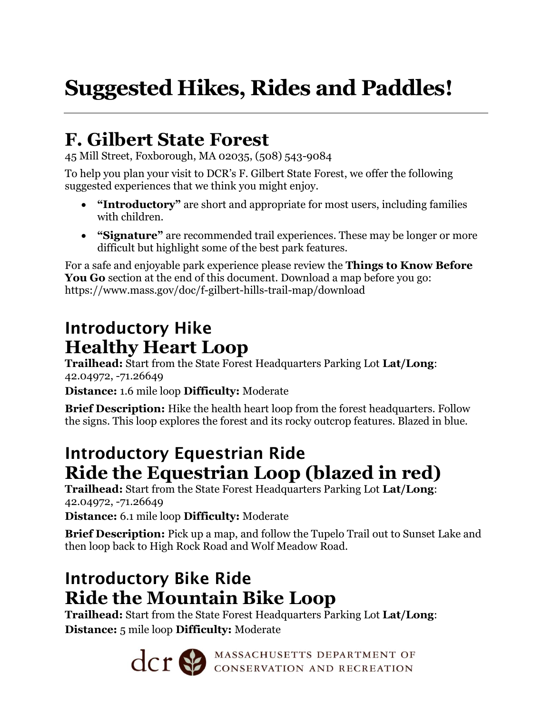# **Suggested Hikes, Rides and Paddles!**

## **F. Gilbert State Forest**

45 Mill Street, Foxborough, MA 02035, (508) 543-9084

To help you plan your visit to DCR's F. Gilbert State Forest, we offer the following suggested experiences that we think you might enjoy.

- **"Introductory"** are short and appropriate for most users, including families with children.
- **"Signature"** are recommended trail experiences. These may be longer or more difficult but highlight some of the best park features.

For a safe and enjoyable park experience please review the **Things to Know Before You Go** section at the end of this document. Download a map before you go: https://www.mass.gov/doc/f-gilbert-hills-trail-map/download

### Introductory Hike **Healthy Heart Loop**

**Trailhead:** Start from the State Forest Headquarters Parking Lot **Lat/Long**: 42.04972, -71.26649

**Distance:** 1.6 mile loop **Difficulty:** Moderate

**Brief Description:** Hike the health heart loop from the forest headquarters. Follow the signs. This loop explores the forest and its rocky outcrop features. Blazed in blue.

#### Introductory Equestrian Ride **Ride the Equestrian Loop (blazed in red)**

**Trailhead:** Start from the State Forest Headquarters Parking Lot **Lat/Long**: 42.04972, -71.26649

**Distance:** 6.1 mile loop **Difficulty:** Moderate

**Brief Description:** Pick up a map, and follow the Tupelo Trail out to Sunset Lake and then loop back to High Rock Road and Wolf Meadow Road.

## Introductory Bike Ride **Ride the Mountain Bike Loop**

**Trailhead:** Start from the State Forest Headquarters Parking Lot **Lat/Long**: **Distance:** 5 mile loop **Difficulty:** Moderate

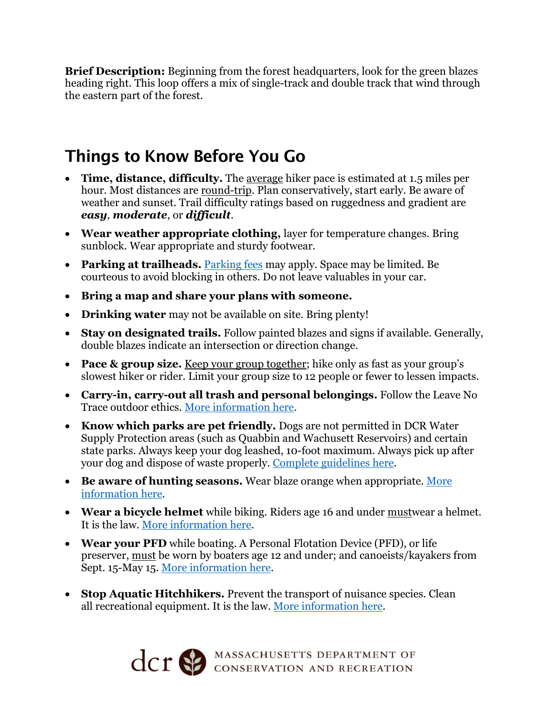**Brief Description:** Beginning from the forest headquarters, look for the green blazes heading right. This loop offers a mix of single-track and double track that wind through the eastern part of the forest.

#### Things to Know Before You Go

- **Time, distance, difficulty.** The average hiker pace is estimated at 1.5 miles per hour. Most distances are round-trip. Plan conservatively, start early. Be aware of weather and sunset. Trail difficulty ratings based on ruggedness and gradient are *easy, moderate*, or *difficult*.
- **Wear weather appropriate clothing,** layer for temperature changes. Bring sunblock. Wear appropriate and sturdy footwear.
- **Parking at trailheads.** [Parking fees](https://www.mass.gov/guides/parking-at-massachusetts-state-parks) may apply. Space may be limited. Be courteous to avoid blocking in others. Do not leave valuables in your car.
- **Bring a map and share your plans with someone.**
- **Drinking water** may not be available on site. Bring plenty!
- **Stay on designated trails.** Follow painted blazes and signs if available. Generally, double blazes indicate an intersection or direction change.
- **Pace & group size.** Keep your group together; hike only as fast as your group's slowest hiker or rider. Limit your group size to 12 people or fewer to lessen impacts.
- **Carry-in, carry-out all trash and personal belongings.** Follow the Leave No Trace outdoor ethics. [More information](https://lnt.org/why/7-principles/) here.
- **Know which parks are pet friendly.** Dogs are not permitted in DCR Water Supply Protection areas (such as Quabbin and Wachusett Reservoirs) and certain state parks. Always keep your dog leashed, 10-foot maximum. Always pick up after your dog and dispose of waste properly. [Complete guidelines](https://www.mass.gov/guides/dogs-in-dcr-parks) here.
- **Be aware of hunting seasons.** Wear blaze orange when appropriate. [More](https://www.mass.gov/hunting-regulations)  [information](https://www.mass.gov/hunting-regulations) here.
- **Wear a bicycle helmet** while biking. Riders age 16 and under mustwear a helmet. It is the law. [More information here.](https://www.mass.gov/info-details/massachusetts-law-about-bicycles)
- **Wear your PFD** while boating. A Personal Flotation Device (PFD), or life preserver, must be worn by boaters age 12 and under; and canoeists/kayakers from Sept. 15-May 15. [More information here.](https://www.mass.gov/service-details/boating-safety)
- **Stop Aquatic Hitchhikers.** Prevent the transport of nuisance species. Clean all recreational equipment. It is the law. [More information here.](https://www.mass.gov/doc/stop-aquatic-hitchhikers-handout/download)